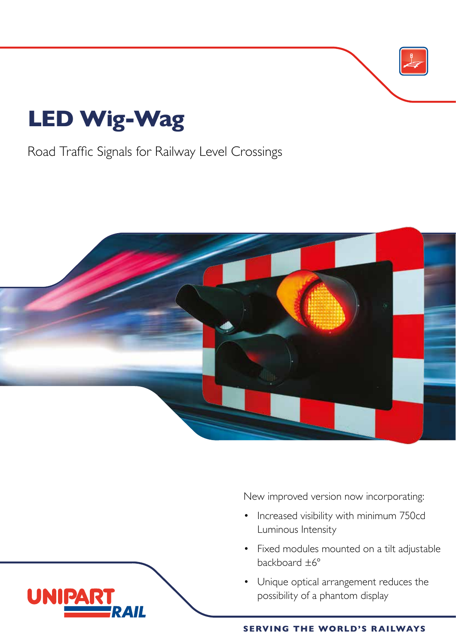# **LED Wig-Wag**

UNIP

Road Traffic Signals for Railway Level Crossings



New improved version now incorporating:

- Increased visibility with minimum 750cd Luminous Intensity
- Fixed modules mounted on a tilt adjustable backboard ±6°
- Unique optical arrangement reduces the possibility of a phantom display